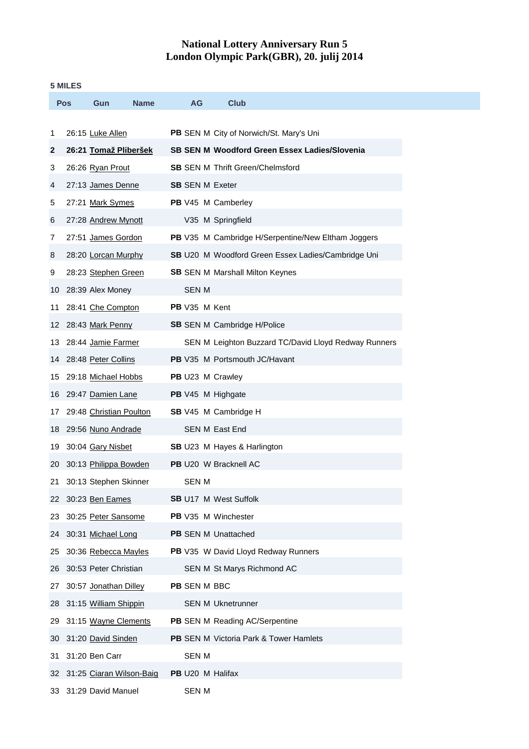## **National Lottery Anniversary Run 5 London Olympic Park(GBR), 20. julij 2014**

## **5 MILES**

|     | <b>Pos</b> | Gun                      | Name | AG                           | <b>Club</b>                                          |
|-----|------------|--------------------------|------|------------------------------|------------------------------------------------------|
| 1   |            | 26:15 Luke Allen         |      |                              | PB SEN M City of Norwich/St. Mary's Uni              |
| 2   |            | 26:21 Tomaž Pliberšek    |      |                              | <b>SB SEN M Woodford Green Essex Ladies/Slovenia</b> |
| 3   |            | 26:26 Ryan Prout         |      |                              | <b>SB</b> SEN M Thrift Green/Chelmsford              |
| 4   |            | 27:13 James Denne        |      | <b>SB</b> SEN M Exeter       |                                                      |
| 5   |            | 27:21 Mark Symes         |      | PB V45 M Camberley           |                                                      |
| 6   |            | 27:28 Andrew Mynott      |      |                              | V35 M Springfield                                    |
| 7   |            | 27:51 James Gordon       |      |                              | PB V35 M Cambridge H/Serpentine/New Eltham Joggers   |
| 8   |            | 28:20 Lorcan Murphy      |      |                              | SB U20 M Woodford Green Essex Ladies/Cambridge Uni   |
| 9   |            | 28:23 Stephen Green      |      |                              | <b>SB</b> SEN M Marshall Milton Keynes               |
| 10  |            | 28:39 Alex Money         |      | <b>SEN M</b>                 |                                                      |
| 11  |            | 28:41 Che Compton        |      | PB V35 M Kent                |                                                      |
| 12  |            | 28:43 Mark Penny         |      |                              | <b>SB</b> SEN M Cambridge H/Police                   |
| 13. |            | 28:44 Jamie Farmer       |      |                              | SEN M Leighton Buzzard TC/David Lloyd Redway Runners |
| 14  |            | 28:48 Peter Collins      |      |                              | PB V35 M Portsmouth JC/Havant                        |
| 15  |            | 29:18 Michael Hobbs      |      | PB U23 M Crawley             |                                                      |
| 16  |            | 29:47 Damien Lane        |      | PB V45 M Highgate            |                                                      |
| 17  |            | 29:48 Christian Poulton  |      |                              | SB V45 M Cambridge H                                 |
| 18  |            | 29:56 Nuno Andrade       |      | <b>SEN M East End</b>        |                                                      |
| 19  |            | 30:04 Gary Nisbet        |      |                              | SB U23 M Hayes & Harlington                          |
| 20  |            | 30:13 Philippa Bowden    |      | PB U20 W Bracknell AC        |                                                      |
| 21  |            | 30:13 Stephen Skinner    |      | <b>SEN M</b>                 |                                                      |
| 22  |            | 30:23 Ben Eames          |      | <b>SB U17 M West Suffolk</b> |                                                      |
| 23  |            | 30:25 Peter Sansome      |      | PB V35 M Winchester          |                                                      |
| 24  |            | 30:31 Michael Long       |      | <b>PB</b> SEN M Unattached   |                                                      |
| 25  |            | 30:36 Rebecca Mayles     |      |                              | PB V35 W David Lloyd Redway Runners                  |
| 26  |            | 30:53 Peter Christian    |      |                              | SEN M St Marys Richmond AC                           |
| 27  |            | 30:57 Jonathan Dilley    |      | PB SEN M BBC                 |                                                      |
| 28  |            | 31:15 William Shippin    |      |                              | <b>SEN M Uknetrunner</b>                             |
| 29  |            | 31:15 Wayne Clements     |      |                              | PB SEN M Reading AC/Serpentine                       |
| 30  |            | 31:20 David Sinden       |      |                              | <b>PB</b> SEN M Victoria Park & Tower Hamlets        |
| 31  |            | 31:20 Ben Carr           |      | <b>SEN M</b>                 |                                                      |
| 32  |            | 31:25 Ciaran Wilson-Baig |      | PB U20 M Halifax             |                                                      |
| 33  |            | 31:29 David Manuel       |      | <b>SEN M</b>                 |                                                      |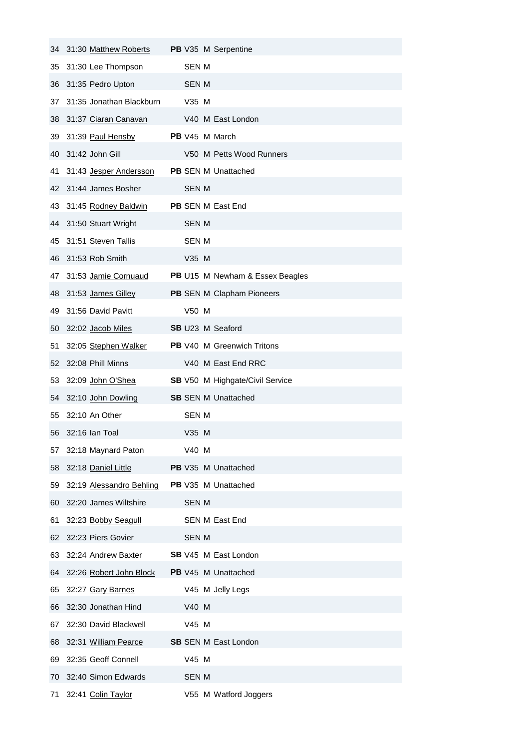| 34 | 31:30 Matthew Roberts    | <b>PB</b> V35 M Serpentine             |
|----|--------------------------|----------------------------------------|
| 35 | 31:30 Lee Thompson       | <b>SEN M</b>                           |
| 36 | 31:35 Pedro Upton        | <b>SEN M</b>                           |
| 37 | 31:35 Jonathan Blackburn | V35 M                                  |
| 38 | 31:37 Ciaran Canavan     | V40 M East London                      |
| 39 | 31:39 Paul Hensby        | <b>PB</b> V45 M March                  |
| 40 | 31:42 John Gill          | V50 M Petts Wood Runners               |
| 41 | 31:43 Jesper Andersson   | <b>PB</b> SEN M Unattached             |
| 42 | 31:44 James Bosher       | SEN M                                  |
| 43 | 31:45 Rodney Baldwin     | PB SEN M East End                      |
| 44 | 31:50 Stuart Wright      | <b>SEN M</b>                           |
| 45 | 31:51 Steven Tallis      | <b>SEN M</b>                           |
| 46 | 31:53 Rob Smith          | V35 M                                  |
| 47 | 31:53 Jamie Cornuaud     | PB U15 M Newham & Essex Beagles        |
| 48 | 31:53 James Gilley       | PB SEN M Clapham Pioneers              |
| 49 | 31:56 David Pavitt       | V50 M                                  |
| 50 | 32:02 Jacob Miles        | <b>SB</b> U23 M Seaford                |
| 51 | 32:05 Stephen Walker     | PB V40 M Greenwich Tritons             |
| 52 | 32:08 Phill Minns        | V40 M East End RRC                     |
| 53 | 32:09 John O'Shea        | <b>SB</b> V50 M Highgate/Civil Service |
| 54 | 32:10 John Dowling       | <b>SB SEN M Unattached</b>             |
| 55 | 32:10 An Other           | SEN M                                  |
| 56 | 32:16 Ian Toal           | V35 M                                  |
| 57 | 32:18 Maynard Paton      | V40 M                                  |
| 58 | 32:18 Daniel Little      | PB V35 M Unattached                    |
| 59 | 32:19 Alessandro Behling | PB V35 M Unattached                    |
| 60 | 32:20 James Wiltshire    | <b>SEN M</b>                           |
| 61 | 32:23 Bobby Seagull      | <b>SEN M East End</b>                  |
| 62 | 32:23 Piers Govier       | <b>SEN M</b>                           |
| 63 | 32:24 Andrew Baxter      | <b>SB</b> V45 M East London            |
| 64 | 32:26 Robert John Block  | PB V45 M Unattached                    |
| 65 | 32:27 Gary Barnes        | V45 M Jelly Legs                       |
| 66 | 32:30 Jonathan Hind      | V40 M                                  |
| 67 | 32:30 David Blackwell    | V45 M                                  |
| 68 | 32:31 William Pearce     | <b>SB</b> SEN M East London            |
| 69 | 32:35 Geoff Connell      | V45 M                                  |
| 70 | 32:40 Simon Edwards      | <b>SEN M</b>                           |
|    | 71 32:41 Colin Taylor    | V55 M Watford Joggers                  |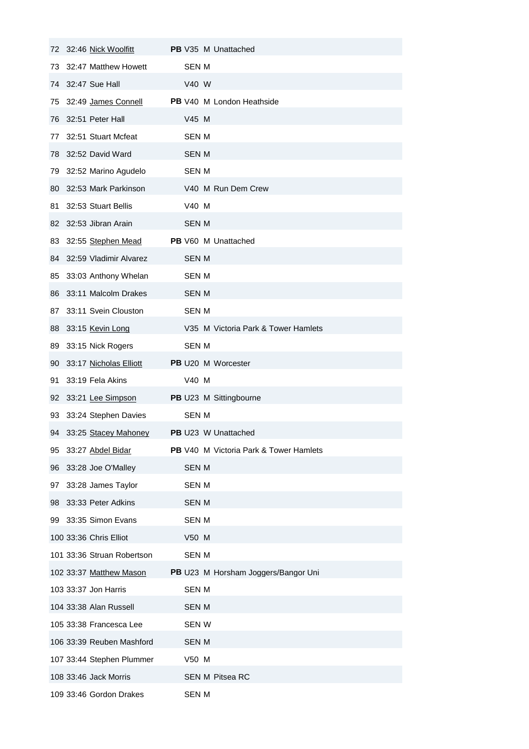| 72 | 32:46 Nick Woolfitt        | PB V35 M Unattached                    |
|----|----------------------------|----------------------------------------|
| 73 | 32:47 Matthew Howett       | <b>SEN M</b>                           |
| 74 | 32:47 Sue Hall             | V40 W                                  |
| 75 | 32:49 James Connell        | PB V40 M London Heathside              |
| 76 | 32:51 Peter Hall           | V45 M                                  |
| 77 | 32:51 Stuart Mcfeat        | <b>SEN M</b>                           |
| 78 | 32:52 David Ward           | <b>SEN M</b>                           |
| 79 | 32:52 Marino Agudelo       | <b>SEN M</b>                           |
| 80 | 32:53 Mark Parkinson       | V40 M Run Dem Crew                     |
| 81 | 32:53 Stuart Bellis        | V40 M                                  |
| 82 | 32:53 Jibran Arain         | <b>SEN M</b>                           |
| 83 | 32:55 Stephen Mead         | <b>PB</b> V60 M Unattached             |
| 84 | 32:59 Vladimir Alvarez     | <b>SEN M</b>                           |
| 85 | 33:03 Anthony Whelan       | <b>SEN M</b>                           |
| 86 | 33:11 Malcolm Drakes       | SEN M                                  |
| 87 | 33:11 Svein Clouston       | <b>SEN M</b>                           |
| 88 | 33:15 Kevin Long           | V35 M Victoria Park & Tower Hamlets    |
| 89 | 33:15 Nick Rogers          | <b>SEN M</b>                           |
| 90 | 33:17 Nicholas Elliott     | PB U20 M Worcester                     |
| 91 | 33:19 Fela Akins           | V40 M                                  |
| 92 | 33:21 Lee Simpson          | PB U23 M Sittingbourne                 |
| 93 | 33:24 Stephen Davies       | <b>SEN M</b>                           |
|    | 94 33:25 Stacey Mahoney    | <b>PB</b> U23 W Unattached             |
| 95 | 33:27 Abdel Bidar          | PB V40 M Victoria Park & Tower Hamlets |
| 96 | 33:28 Joe O'Malley         | <b>SEN M</b>                           |
| 97 | 33:28 James Taylor         | <b>SEN M</b>                           |
| 98 | 33:33 Peter Adkins         | <b>SEN M</b>                           |
| 99 | 33:35 Simon Evans          | <b>SEN M</b>                           |
|    | 100 33:36 Chris Elliot     | V50 M                                  |
|    | 101 33:36 Struan Robertson | <b>SEN M</b>                           |
|    | 102 33:37 Matthew Mason    | PB U23 M Horsham Joggers/Bangor Uni    |
|    | 103 33:37 Jon Harris       | <b>SEN M</b>                           |
|    | 104 33:38 Alan Russell     | <b>SEN M</b>                           |
|    | 105 33:38 Francesca Lee    | <b>SEN W</b>                           |
|    | 106 33:39 Reuben Mashford  | <b>SEN M</b>                           |
|    | 107 33:44 Stephen Plummer  | V50 M                                  |
|    | 108 33:46 Jack Morris      | <b>SEN M Pitsea RC</b>                 |
|    | 109 33:46 Gordon Drakes    | <b>SEN M</b>                           |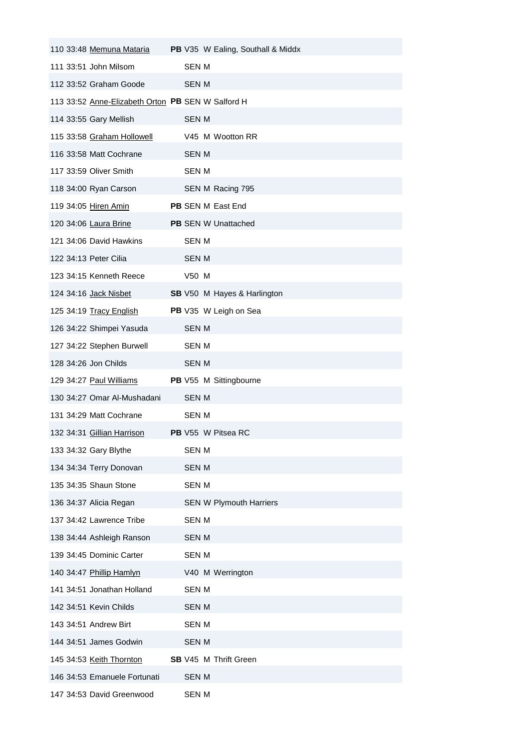| 110 33:48 Memuna Mataria                          |                           | PB V35 W Ealing, Southall & Middx |
|---------------------------------------------------|---------------------------|-----------------------------------|
| 111 33:51 John Milsom                             | SEN M                     |                                   |
| 112 33:52 Graham Goode                            | <b>SEN M</b>              |                                   |
| 113 33:52 Anne-Elizabeth Orton PB SEN W Salford H |                           |                                   |
| 114 33:55 Gary Mellish                            | <b>SEN M</b>              |                                   |
| 115 33:58 Graham Hollowell                        | V45 M Wootton RR          |                                   |
| 116 33:58 Matt Cochrane                           | <b>SEN M</b>              |                                   |
| 117 33:59 Oliver Smith                            | <b>SEN M</b>              |                                   |
| 118 34:00 Ryan Carson                             | SEN M Racing 795          |                                   |
| 119 34:05 Hiren Amin                              | PB SEN M East End         |                                   |
| 120 34:06 Laura Brine                             | PB SEN W Unattached       |                                   |
| 121 34:06 David Hawkins                           | SEN M                     |                                   |
| 122 34:13 Peter Cilia                             | <b>SEN M</b>              |                                   |
| 123 34:15 Kenneth Reece                           | V50 M                     |                                   |
| 124 34:16 Jack Nisbet                             |                           | SB V50 M Hayes & Harlington       |
| 125 34:19 Tracy English                           | PB V35 W Leigh on Sea     |                                   |
| 126 34:22 Shimpei Yasuda                          | <b>SEN M</b>              |                                   |
| 127 34:22 Stephen Burwell                         | <b>SEN M</b>              |                                   |
| 128 34:26 Jon Childs                              | <b>SEN M</b>              |                                   |
| 129 34:27 Paul Williams                           | PB V55 M Sittingbourne    |                                   |
| 130 34:27 Omar Al-Mushadani                       | <b>SEN M</b>              |                                   |
| 131 34:29 Matt Cochrane                           | <b>SEN M</b>              |                                   |
| 132 34:31 Gillian Harrison                        | <b>PB</b> V55 W Pitsea RC |                                   |
| 133 34:32 Gary Blythe                             | <b>SEN M</b>              |                                   |
| 134 34:34 Terry Donovan                           | <b>SEN M</b>              |                                   |
| 135 34:35 Shaun Stone                             | <b>SEN M</b>              |                                   |
| 136 34:37 Alicia Regan                            |                           | <b>SEN W Plymouth Harriers</b>    |
| 137 34:42 Lawrence Tribe                          | <b>SEN M</b>              |                                   |
| 138 34:44 Ashleigh Ranson                         | <b>SEN M</b>              |                                   |
| 139 34:45 Dominic Carter                          | <b>SEN M</b>              |                                   |
| 140 34:47 Phillip Hamlyn                          | V40 M Werrington          |                                   |
| 141 34:51 Jonathan Holland                        | <b>SEN M</b>              |                                   |
| 142 34:51 Kevin Childs                            | <b>SEN M</b>              |                                   |
| 143 34:51 Andrew Birt                             | <b>SEN M</b>              |                                   |
| 144 34:51 James Godwin                            | <b>SEN M</b>              |                                   |
| 145 34:53 Keith Thornton                          | SB V45 M Thrift Green     |                                   |
| 146 34:53 Emanuele Fortunati                      | <b>SEN M</b>              |                                   |
| 147 34:53 David Greenwood                         | <b>SEN M</b>              |                                   |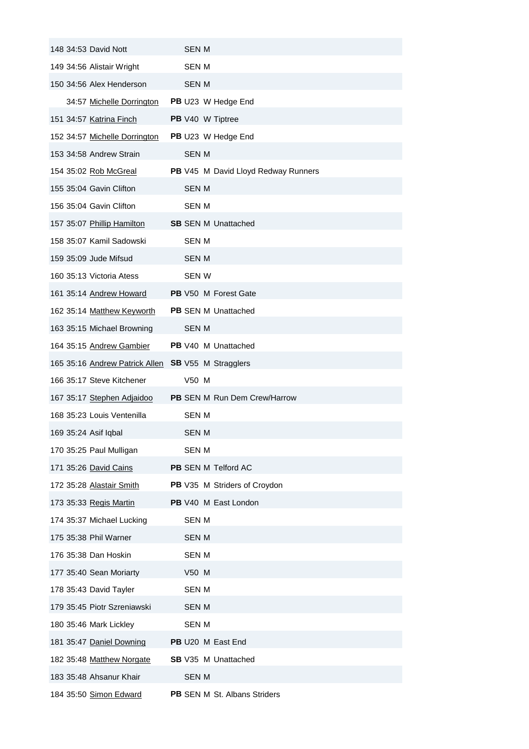| 148 34:53 David Nott           | <b>SEN M</b>                        |
|--------------------------------|-------------------------------------|
| 149 34:56 Alistair Wright      | <b>SEN M</b>                        |
| 150 34:56 Alex Henderson       | SEN M                               |
| 34:57 Michelle Dorrington      | PB U23 W Hedge End                  |
| 151 34:57 Katrina Finch        | <b>PB</b> V40 W Tiptree             |
| 152 34:57 Michelle Dorrington  | PB U23 W Hedge End                  |
| 153 34:58 Andrew Strain        | <b>SEN M</b>                        |
| 154 35:02 Rob McGreal          | PB V45 M David Lloyd Redway Runners |
| 155 35:04 Gavin Clifton        | <b>SEN M</b>                        |
| 156 35:04 Gavin Clifton        | SEN M                               |
| 157 35:07 Phillip Hamilton     | <b>SB</b> SEN M Unattached          |
| 158 35:07 Kamil Sadowski       | <b>SEN M</b>                        |
| 159 35:09 Jude Mifsud          | SEN M                               |
| 160 35:13 Victoria Atess       | <b>SEN W</b>                        |
| 161 35:14 Andrew Howard        | <b>PB</b> V50 M Forest Gate         |
| 162 35:14 Matthew Keyworth     | <b>PB</b> SEN M Unattached          |
| 163 35:15 Michael Browning     | <b>SEN M</b>                        |
| 164 35:15 Andrew Gambier       | PB V40 M Unattached                 |
| 165 35:16 Andrew Patrick Allen | <b>SB</b> V55 M Stragglers          |
| 166 35:17 Steve Kitchener      | V50 M                               |
| 167 35:17 Stephen Adjaidoo     | <b>PB</b> SEN M Run Dem Crew/Harrow |
| 168 35:23 Louis Ventenilla     | <b>SEN M</b>                        |
| 169 35:24 Asif Iqbal           | SEN M                               |
| 170 35:25 Paul Mulligan        | SEN M                               |
| 171 35:26 David Cains          | PB SEN M Telford AC                 |
| 172 35:28 Alastair Smith       | PB V35 M Striders of Croydon        |
| 173 35:33 Regis Martin         | PB V40 M East London                |
| 174 35:37 Michael Lucking      | <b>SEN M</b>                        |
| 175 35:38 Phil Warner          | <b>SEN M</b>                        |
| 176 35:38 Dan Hoskin           | <b>SEN M</b>                        |
| 177 35:40 Sean Moriarty        | V50 M                               |
| 178 35:43 David Tayler         | <b>SEN M</b>                        |
| 179 35:45 Piotr Szreniawski    | <b>SEN M</b>                        |
| 180 35:46 Mark Lickley         | <b>SEN M</b>                        |
| 181 35:47 Daniel Downing       | PB U20 M East End                   |
| 182 35:48 Matthew Norgate      | <b>SB</b> V35 M Unattached          |
| 183 35:48 Ahsanur Khair        | <b>SEN M</b>                        |
| 184 35:50 Simon Edward         | PB SEN M St. Albans Striders        |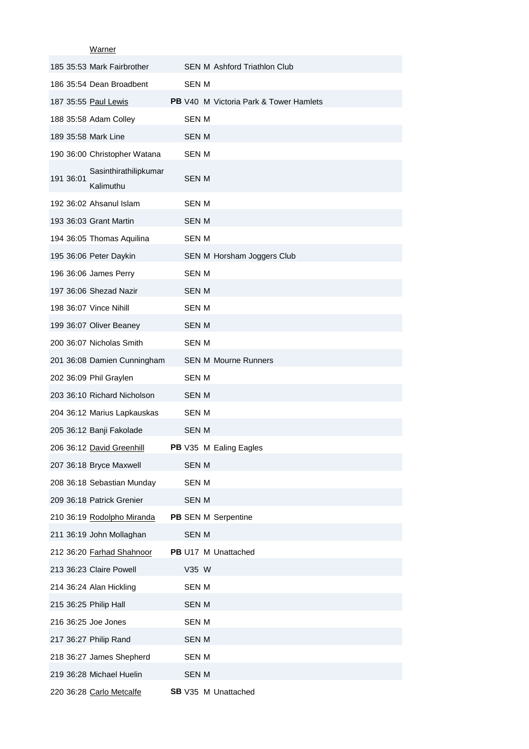Warner

|           | <u>vvalliel</u>                    |              |                                               |
|-----------|------------------------------------|--------------|-----------------------------------------------|
|           | 185 35:53 Mark Fairbrother         |              | <b>SEN M Ashford Triathlon Club</b>           |
|           | 186 35:54 Dean Broadbent           | <b>SEN M</b> |                                               |
|           | 187 35:55 Paul Lewis               |              | <b>PB</b> V40 M Victoria Park & Tower Hamlets |
|           | 188 35:58 Adam Colley              | <b>SEN M</b> |                                               |
|           | 189 35:58 Mark Line                | <b>SEN M</b> |                                               |
|           | 190 36:00 Christopher Watana       | <b>SEN M</b> |                                               |
| 191 36:01 | Sasinthirathilipkumar<br>Kalimuthu | SEN M        |                                               |
|           | 192 36:02 Ahsanul Islam            | <b>SEN M</b> |                                               |
|           | 193 36:03 Grant Martin             | SEN M        |                                               |
|           | 194 36:05 Thomas Aquilina          | SEN M        |                                               |
|           | 195 36:06 Peter Daykin             |              | SEN M Horsham Joggers Club                    |
|           | 196 36:06 James Perry              | SEN M        |                                               |
|           | 197 36:06 Shezad Nazir             | SEN M        |                                               |
|           | 198 36:07 Vince Nihill             | <b>SEN M</b> |                                               |
|           | 199 36:07 Oliver Beaney            | <b>SEN M</b> |                                               |
|           | 200 36:07 Nicholas Smith           | SEN M        |                                               |
|           | 201 36:08 Damien Cunningham        |              | <b>SEN M Mourne Runners</b>                   |
|           | 202 36:09 Phil Graylen             | SEN M        |                                               |
|           | 203 36:10 Richard Nicholson        | <b>SEN M</b> |                                               |
|           | 204 36:12 Marius Lapkauskas        | <b>SEN M</b> |                                               |
|           | 205 36:12 Banji Fakolade           | <b>SEN M</b> |                                               |
|           | 206 36:12 David Greenhill          |              | <b>PB</b> V35 M Ealing Eagles                 |
|           | 207 36:18 Bryce Maxwell            | <b>SEN M</b> |                                               |
|           | 208 36:18 Sebastian Munday         | <b>SEN M</b> |                                               |
|           | 209 36:18 Patrick Grenier          | <b>SEN M</b> |                                               |
|           | 210 36:19 Rodolpho Miranda         |              | PB SEN M Serpentine                           |
|           | 211 36:19 John Mollaghan           | <b>SEN M</b> |                                               |
|           | 212 36:20 Farhad Shahnoor          |              | PB U17 M Unattached                           |
|           | 213 36:23 Claire Powell            | V35 W        |                                               |
|           | 214 36:24 Alan Hickling            | <b>SEN M</b> |                                               |
|           | 215 36:25 Philip Hall              | <b>SEN M</b> |                                               |
|           | 216 36:25 Joe Jones                | <b>SEN M</b> |                                               |
|           | 217 36:27 Philip Rand              | <b>SEN M</b> |                                               |
|           | 218 36:27 James Shepherd           | SEN M        |                                               |
|           | 219 36:28 Michael Huelin           | SEN M        |                                               |
|           | 220 36:28 Carlo Metcalfe           |              | SB V35 M Unattached                           |